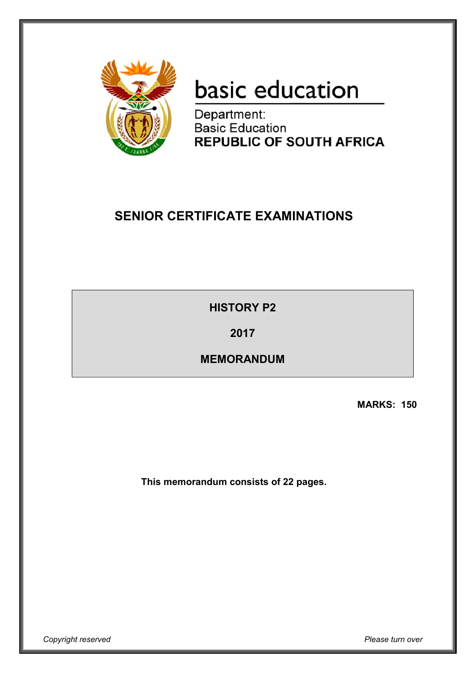

# basic education

Department: **Basic Education REPUBLIC OF SOUTH AFRICA** 

# **SENIOR CERTIFICATE EXAMINATIONS**

**HISTORY P2**

**2017**

**MEMORANDUM**

**MARKS: 150**

**This memorandum consists of 22 pages.**

*Copyright reserved Please turn over*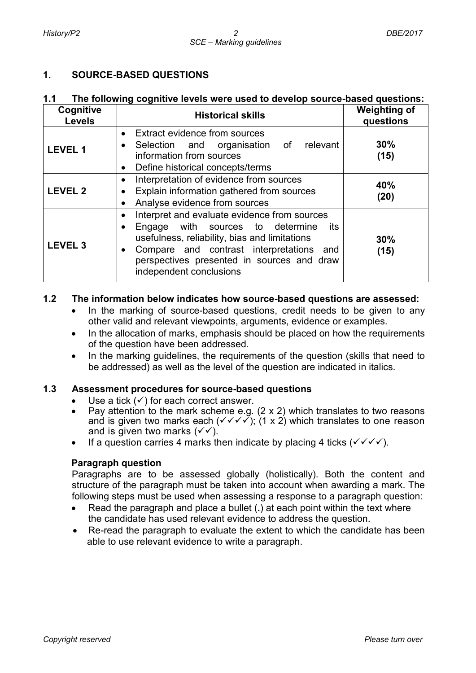# **1. SOURCE-BASED QUESTIONS**

#### **1.1 The following cognitive levels were used to develop source-based questions:**

| Cognitive<br><b>Levels</b> | <b>Historical skills</b>                                                                                                                                                                                                                                                                             | <b>Weighting of</b><br>questions |
|----------------------------|------------------------------------------------------------------------------------------------------------------------------------------------------------------------------------------------------------------------------------------------------------------------------------------------------|----------------------------------|
| <b>LEVEL 1</b>             | • Extract evidence from sources<br>relevant<br>Selection and organisation of<br>$\bullet$<br>information from sources<br>Define historical concepts/terms<br>$\bullet$                                                                                                                               | 30%<br>(15)                      |
| <b>LEVEL 2</b>             | Interpretation of evidence from sources<br>$\bullet$<br>Explain information gathered from sources<br>$\bullet$<br>Analyse evidence from sources<br>$\bullet$                                                                                                                                         | 40%<br>(20)                      |
| <b>LEVEL 3</b>             | Interpret and evaluate evidence from sources<br>$\bullet$<br>Engage with sources to determine<br>its<br>$\bullet$<br>usefulness, reliability, bias and limitations<br>Compare and contrast interpretations and<br>$\bullet$<br>perspectives presented in sources and draw<br>independent conclusions | 30%<br>(15)                      |

#### **1.2 The information below indicates how source-based questions are assessed:**

- In the marking of source-based questions, credit needs to be given to any other valid and relevant viewpoints, arguments, evidence or examples.
- In the allocation of marks, emphasis should be placed on how the requirements of the question have been addressed.
- In the marking quidelines, the requirements of the question (skills that need to be addressed) as well as the level of the question are indicated in italics.

#### **1.3 Assessment procedures for source-based questions**

- Use a tick  $(\checkmark)$  for each correct answer.
- Pay attention to the mark scheme e.g.  $(2 \times 2)$  which translates to two reasons and is given two marks each ( $\checkmark \checkmark \checkmark$ ); (1 x 2) which translates to one reason and is given two marks  $(\checkmark)$ .
- If a question carries 4 marks then indicate by placing 4 ticks  $(\sqrt{\sqrt{}})$ .

#### **Paragraph question**

Paragraphs are to be assessed globally (holistically). Both the content and structure of the paragraph must be taken into account when awarding a mark. The following steps must be used when assessing a response to a paragraph question:

- Read the paragraph and place a bullet (**.**) at each point within the text where the candidate has used relevant evidence to address the question.
- Re-read the paragraph to evaluate the extent to which the candidate has been able to use relevant evidence to write a paragraph.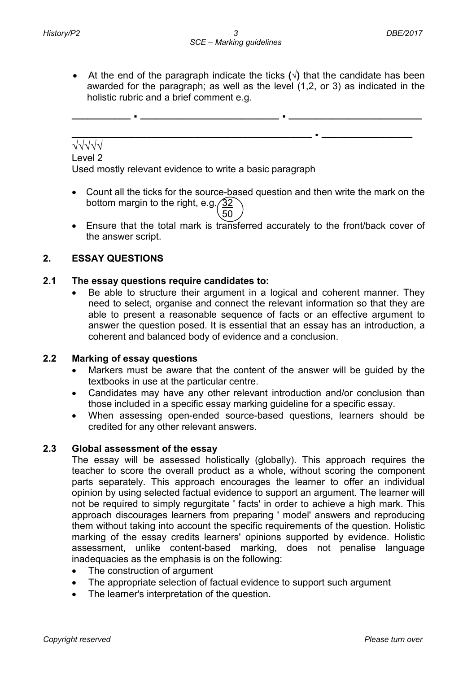• At the end of the paragraph indicate the ticks **(√)** that the candidate has been awarded for the paragraph; as well as the level (1,2, or 3) as indicated in the holistic rubric and a brief comment e.g.

**\_\_\_\_\_\_\_\_\_\_\_ . \_\_\_\_\_\_\_\_\_\_\_\_\_\_\_\_\_\_\_\_\_\_\_\_\_\_ . \_\_\_\_\_\_\_\_\_\_\_\_\_\_\_\_\_\_\_\_\_\_\_\_\_ \_\_\_\_\_\_\_\_\_\_\_\_\_\_\_\_\_\_\_\_\_\_\_\_\_\_\_\_\_\_\_\_\_\_\_\_\_\_\_\_\_\_\_\_\_ . \_\_\_\_\_\_\_\_\_\_\_\_\_\_\_\_\_**

# √√√√√

Level 2

Used mostly relevant evidence to write a basic paragraph

- Count all the ticks for the source-based question and then write the mark on the bottom margin to the right, e.g.  $\sqrt{32}$  $\setminus$  50
- Ensure that the total mark is transferred accurately to the front/back cover of the answer script.

# **2. ESSAY QUESTIONS**

#### **2.1 The essay questions require candidates to:**

• Be able to structure their argument in a logical and coherent manner. They need to select, organise and connect the relevant information so that they are able to present a reasonable sequence of facts or an effective argument to answer the question posed. It is essential that an essay has an introduction, a coherent and balanced body of evidence and a conclusion.

#### **2.2 Marking of essay questions**

- Markers must be aware that the content of the answer will be guided by the textbooks in use at the particular centre.
- Candidates may have any other relevant introduction and/or conclusion than those included in a specific essay marking guideline for a specific essay.
- When assessing open-ended source-based questions, learners should be credited for any other relevant answers.

#### **2.3 Global assessment of the essay**

The essay will be assessed holistically (globally). This approach requires the teacher to score the overall product as a whole, without scoring the component parts separately. This approach encourages the learner to offer an individual opinion by using selected factual evidence to support an argument. The learner will not be required to simply regurgitate ' facts' in order to achieve a high mark. This approach discourages learners from preparing ' model' answers and reproducing them without taking into account the specific requirements of the question. Holistic marking of the essay credits learners' opinions supported by evidence. Holistic assessment, unlike content-based marking, does not penalise language inadequacies as the emphasis is on the following:

- The construction of argument
- The appropriate selection of factual evidence to support such argument
- The learner's interpretation of the question.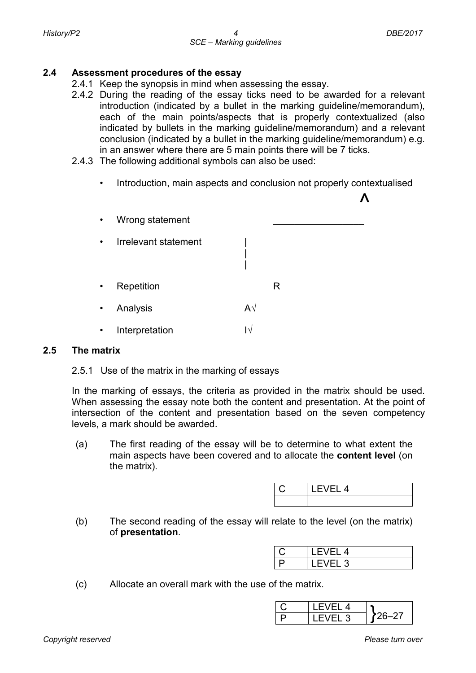#### **2.4 Assessment procedures of the essay**

- 2.4.1 Keep the synopsis in mind when assessing the essay.
- 2.4.2 During the reading of the essay ticks need to be awarded for a relevant introduction (indicated by a bullet in the marking guideline/memorandum), each of the main points/aspects that is properly contextualized (also indicated by bullets in the marking guideline/memorandum) and a relevant conclusion (indicated by a bullet in the marking guideline/memorandum) e.g. in an answer where there are 5 main points there will be 7 ticks.
- 2.4.3 The following additional symbols can also be used:
	- Introduction, main aspects and conclusion not properly contextualised



#### **2.5 The matrix**

#### 2.5.1 Use of the matrix in the marking of essays

In the marking of essays, the criteria as provided in the matrix should be used. When assessing the essay note both the content and presentation. At the point of intersection of the content and presentation based on the seven competency levels, a mark should be awarded.

(a) The first reading of the essay will be to determine to what extent the main aspects have been covered and to allocate the **content level** (on the matrix).

| $FVFI$ 4 |  |
|----------|--|
|          |  |

(b) The second reading of the essay will relate to the level (on the matrix) of **presentation**.

| FVFL 4       |  |
|--------------|--|
| –⊢ 2<br>– VI |  |

(c) Allocate an overall mark with the use of the matrix.

| 4    |  |
|------|--|
| EL 3 |  |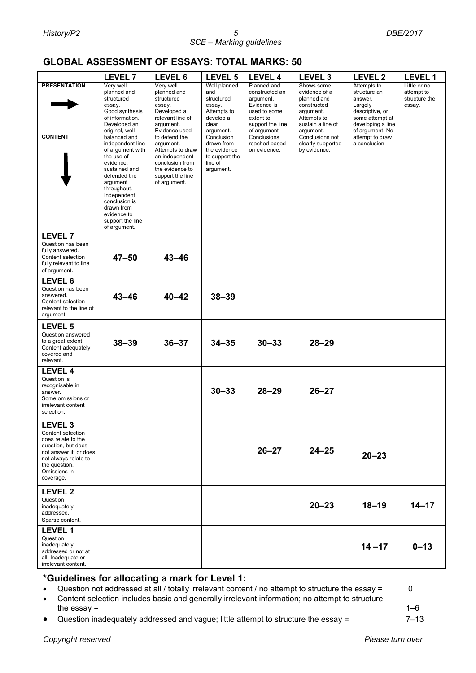# **GLOBAL ASSESSMENT OF ESSAYS: TOTAL MARKS: 50**

|                                                                                                                                                                                 | <b>LEVEL 7</b>                                                                                                                                                                                                                                                                                                                                                          | LEVEL 6                                                                                                                                                                                                                                                         | LEVEL 5                                                                                                                                                                             | <b>LEVEL 4</b>                                                                                                                                                            | LEVEL <sub>3</sub>                                                                                                                                                              | LEVEL <sub>2</sub>                                                                                                                                                 | <b>LEVEL 1</b>                                        |
|---------------------------------------------------------------------------------------------------------------------------------------------------------------------------------|-------------------------------------------------------------------------------------------------------------------------------------------------------------------------------------------------------------------------------------------------------------------------------------------------------------------------------------------------------------------------|-----------------------------------------------------------------------------------------------------------------------------------------------------------------------------------------------------------------------------------------------------------------|-------------------------------------------------------------------------------------------------------------------------------------------------------------------------------------|---------------------------------------------------------------------------------------------------------------------------------------------------------------------------|---------------------------------------------------------------------------------------------------------------------------------------------------------------------------------|--------------------------------------------------------------------------------------------------------------------------------------------------------------------|-------------------------------------------------------|
| <b>PRESENTATION</b><br><b>CONTENT</b>                                                                                                                                           | Very well<br>planned and<br>structured<br>essay.<br>Good synthesis<br>of information.<br>Developed an<br>original, well<br>balanced and<br>independent line<br>of argument with<br>the use of<br>evidence,<br>sustained and<br>defended the<br>argument<br>throughout.<br>Independent<br>conclusion is<br>drawn from<br>evidence to<br>support the line<br>of argument. | Verv well<br>planned and<br>structured<br>essay.<br>Developed a<br>relevant line of<br>argument.<br>Evidence used<br>to defend the<br>argument.<br>Attempts to draw<br>an independent<br>conclusion from<br>the evidence to<br>support the line<br>of argument. | Well planned<br>and<br>structured<br>essay.<br>Attempts to<br>develop a<br>clear<br>argument.<br>Conclusion<br>drawn from<br>the evidence<br>to support the<br>line of<br>argument. | Planned and<br>constructed an<br>argument.<br>Evidence is<br>used to some<br>extent to<br>support the line<br>of argument<br>Conclusions<br>reached based<br>on evidence. | Shows some<br>evidence of a<br>planned and<br>constructed<br>argument.<br>Attempts to<br>sustain a line of<br>argument.<br>Conclusions not<br>clearly supported<br>by evidence. | Attempts to<br>structure an<br>answer.<br>Largely<br>descriptive, or<br>some attempt at<br>developing a line<br>of argument. No<br>attempt to draw<br>a conclusion | Little or no<br>attempt to<br>structure the<br>essay. |
| <b>LEVEL 7</b><br>Question has been<br>fully answered.<br>Content selection<br>fully relevant to line<br>of argument.                                                           | $47 - 50$                                                                                                                                                                                                                                                                                                                                                               | $43 - 46$                                                                                                                                                                                                                                                       |                                                                                                                                                                                     |                                                                                                                                                                           |                                                                                                                                                                                 |                                                                                                                                                                    |                                                       |
| LEVEL 6<br>Question has been<br>answered.<br>Content selection<br>relevant to the line of<br>argument.                                                                          | $43 - 46$                                                                                                                                                                                                                                                                                                                                                               | $40 - 42$                                                                                                                                                                                                                                                       | $38 - 39$                                                                                                                                                                           |                                                                                                                                                                           |                                                                                                                                                                                 |                                                                                                                                                                    |                                                       |
| LEVEL 5<br>Question answered<br>to a great extent.<br>Content adequately<br>covered and<br>relevant.                                                                            | $38 - 39$                                                                                                                                                                                                                                                                                                                                                               | $36 - 37$                                                                                                                                                                                                                                                       | $34 - 35$                                                                                                                                                                           | $30 - 33$                                                                                                                                                                 | $28 - 29$                                                                                                                                                                       |                                                                                                                                                                    |                                                       |
| <b>LEVEL 4</b><br>Question is<br>recognisable in<br>answer.<br>Some omissions or<br>irrelevant content<br>selection.                                                            |                                                                                                                                                                                                                                                                                                                                                                         |                                                                                                                                                                                                                                                                 | $30 - 33$                                                                                                                                                                           | $28 - 29$                                                                                                                                                                 | $26 - 27$                                                                                                                                                                       |                                                                                                                                                                    |                                                       |
| <b>LEVEL 3</b><br>Content selection<br>does relate to the<br>question, but does<br>not answer it, or does<br>not always relate to<br>the question.<br>Omissions in<br>coverage. |                                                                                                                                                                                                                                                                                                                                                                         |                                                                                                                                                                                                                                                                 |                                                                                                                                                                                     | $26 - 27$                                                                                                                                                                 | $24 - 25$                                                                                                                                                                       | $20 - 23$                                                                                                                                                          |                                                       |
| <b>LEVEL 2</b><br>Question<br>inadequately<br>addressed.<br>Sparse content.                                                                                                     |                                                                                                                                                                                                                                                                                                                                                                         |                                                                                                                                                                                                                                                                 |                                                                                                                                                                                     |                                                                                                                                                                           | $20 - 23$                                                                                                                                                                       | $18 - 19$                                                                                                                                                          | $14 - 17$                                             |
| <b>LEVEL 1</b><br>Question<br>inadequately<br>addressed or not at<br>all. Inadequate or<br>irrelevant content.                                                                  |                                                                                                                                                                                                                                                                                                                                                                         |                                                                                                                                                                                                                                                                 |                                                                                                                                                                                     |                                                                                                                                                                           |                                                                                                                                                                                 | $14 - 17$                                                                                                                                                          | $0 - 13$                                              |

#### **\*Guidelines for allocating a mark for Level 1:**

• Question not addressed at all / totally irrelevant content / no attempt to structure the essay = 0

- Content selection includes basic and generally irrelevant information; no attempt to structure the essay  $=$  1–6
- Question inadequately addressed and vague; little attempt to structure the essay = 7–13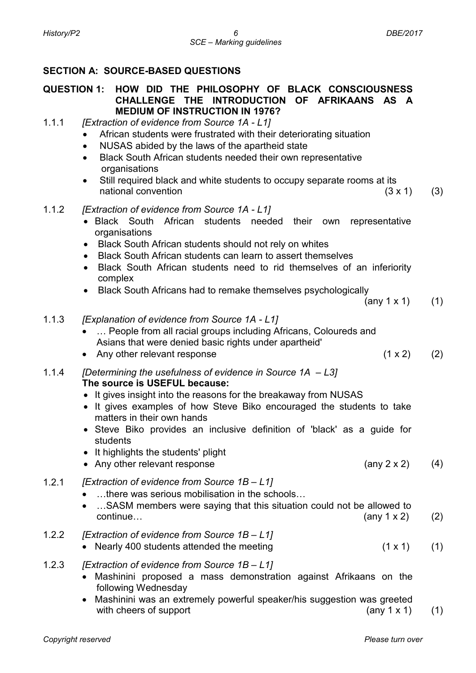# **SECTION A: SOURCE-BASED QUESTIONS**

#### **QUESTION 1: HOW DID THE PHILOSOPHY OF BLACK CONSCIOUSNESS CHALLENGE THE INTRODUCTION OF AFRIKAANS AS A MEDIUM OF INSTRUCTION IN 1976?**

- 1.1.1 *[Extraction of evidence from Source 1A - L1]*
	- African students were frustrated with their deteriorating situation
	- NUSAS abided by the laws of the apartheid state
	- Black South African students needed their own representative organisations
	- Still required black and white students to occupy separate rooms at its national convention and the set of the set of the set of the set of the set of the set of the set of the set o
- 1.1.2 *[Extraction of evidence from Source 1A - L1]*
	- Black South African students needed their own representative organisations
	- Black South African students should not rely on whites
	- Black South African students can learn to assert themselves
	- Black South African students need to rid themselves of an inferiority complex
	- Black South Africans had to remake themselves psychologically

$$
(any 1 x 1) (1)
$$

- 1.1.3 *[Explanation of evidence from Source 1A - L1]*
	- ... People from all racial groups including Africans, Coloureds and Asians that were denied basic rights under apartheid'
	- Any other relevant response  $(1 \times 2)$  (2)

1.1.4 *[Determining the usefulness of evidence in Source 1A – L3]* **The source is USEFUL because:**

- It gives insight into the reasons for the breakaway from NUSAS
- It gives examples of how Steve Biko encouraged the students to take matters in their own hands
- Steve Biko provides an inclusive definition of 'black' as a guide for students
- It highlights the students' plight
- Any other relevant response (any 2 x 2) (4)
- 1.2.1 *[Extraction of evidence from Source 1B – L1]*
	- …there was serious mobilisation in the schools…
	- …SASM members were saying that this situation could not be allowed to  $\text{continue...}$  (any 1 x 2) (2)
- 1.2.2 *[Extraction of evidence from Source 1B – L1]*
	- Nearly 400 students attended the meeting  $(1 \times 1)$  (1)
- 1.2.3 *[Extraction of evidence from Source 1B – L1]*
	- Mashinini proposed a mass demonstration against Afrikaans on the following Wednesday
	- Mashinini was an extremely powerful speaker/his suggestion was greeted with cheers of support  $(\text{any } 1 \times 1)$  (1)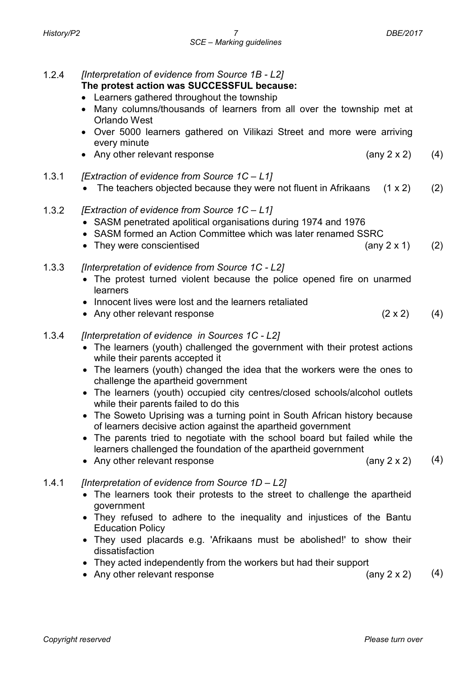1.2.4 *[Interpretation of evidence from Source 1B - L2]*

# **The protest action was SUCCESSFUL because:**

- Learners gathered throughout the township
- Many columns/thousands of learners from all over the township met at Orlando West
- Over 5000 learners gathered on Vilikazi Street and more were arriving every minute
- Any other relevant response  $(4)$
- 1.3.1 *[Extraction of evidence from Source 1C – L1]*
	- The teachers objected because they were not fluent in Afrikaans  $(1 \times 2)$  (2)
- 1.3.2 *[Extraction of evidence from Source 1C – L1]*
	- SASM penetrated apolitical organisations during 1974 and 1976
	- SASM formed an Action Committee which was later renamed SSRC
	- They were conscientised (any 2 x 1) (2)
- 1.3.3 *[Interpretation of evidence from Source 1C - L2]*
	- The protest turned violent because the police opened fire on unarmed learners
	- Innocent lives were lost and the learners retaliated
	- Any other relevant response  $(2 \times 2)$  (4)

# 1.3.4 *[Interpretation of evidence in Sources 1C - L2]*

- The learners (youth) challenged the government with their protest actions while their parents accepted it
- The learners (youth) changed the idea that the workers were the ones to challenge the apartheid government
- The learners (youth) occupied city centres/closed schools/alcohol outlets while their parents failed to do this
- The Soweto Uprising was a turning point in South African history because of learners decisive action against the apartheid government
- The parents tried to negotiate with the school board but failed while the learners challenged the foundation of the apartheid government
- Any other relevant response  $(4)$

# 1.4.1 *[Interpretation of evidence from Source 1D – L2]*

- The learners took their protests to the street to challenge the apartheid government
- They refused to adhere to the inequality and injustices of the Bantu Education Policy
- They used placards e.g. 'Afrikaans must be abolished!' to show their dissatisfaction
- They acted independently from the workers but had their support
- Any other relevant response  $(4)$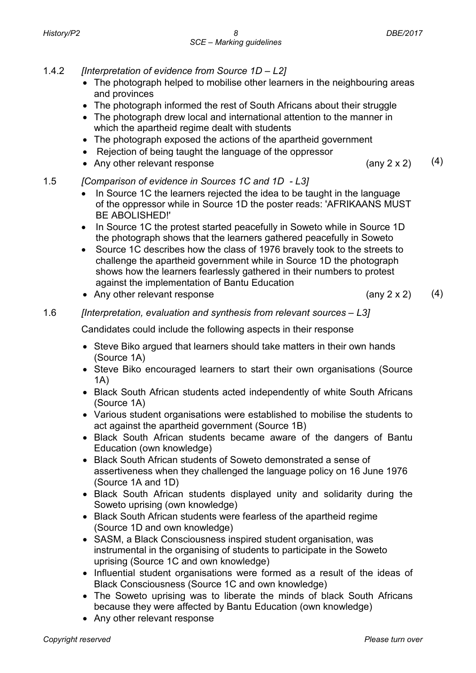- 1.4.2 *[Interpretation of evidence from Source 1D – L2]*
	- The photograph helped to mobilise other learners in the neighbouring areas and provinces
	- The photograph informed the rest of South Africans about their struggle
	- The photograph drew local and international attention to the manner in which the apartheid regime dealt with students
	- The photograph exposed the actions of the apartheid government
	- Rejection of being taught the language of the oppressor
	- Any other relevant response  $(4)$

- 1.5 *[Comparison of evidence in Sources 1C and 1D - L3]*
	- In Source 1C the learners rejected the idea to be taught in the language of the oppressor while in Source 1D the poster reads: 'AFRIKAANS MUST BE ABOLISHED!'
	- In Source 1C the protest started peacefully in Soweto while in Source 1D the photograph shows that the learners gathered peacefully in Soweto
	- Source 1C describes how the class of 1976 bravely took to the streets to challenge the apartheid government while in Source 1D the photograph shows how the learners fearlessly gathered in their numbers to protest against the implementation of Bantu Education
	- Any other relevant response (any 2 x 2) (4)

# 1.6 *[Interpretation, evaluation and synthesis from relevant sources – L3]*

Candidates could include the following aspects in their response

- Steve Biko argued that learners should take matters in their own hands (Source 1A)
- Steve Biko encouraged learners to start their own organisations (Source 1A)
- Black South African students acted independently of white South Africans (Source 1A)
- Various student organisations were established to mobilise the students to act against the apartheid government (Source 1B)
- Black South African students became aware of the dangers of Bantu Education (own knowledge)
- Black South African students of Soweto demonstrated a sense of assertiveness when they challenged the language policy on 16 June 1976 (Source 1A and 1D)
- Black South African students displayed unity and solidarity during the Soweto uprising (own knowledge)
- Black South African students were fearless of the apartheid regime (Source 1D and own knowledge)
- SASM, a Black Consciousness inspired student organisation, was instrumental in the organising of students to participate in the Soweto uprising (Source 1C and own knowledge)
- Influential student organisations were formed as a result of the ideas of Black Consciousness (Source 1C and own knowledge)
- The Soweto uprising was to liberate the minds of black South Africans because they were affected by Bantu Education (own knowledge)
- Any other relevant response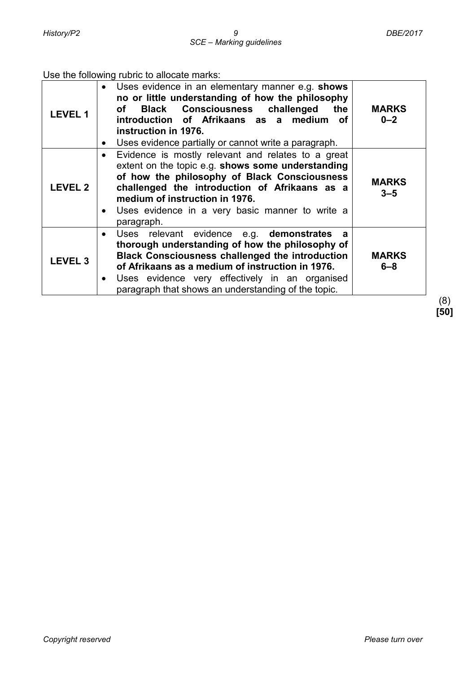#### Use the following rubric to allocate marks:

| <b>LEVEL 1</b> | Uses evidence in an elementary manner e.g. shows<br>no or little understanding of how the philosophy<br>of Black Consciousness challenged<br>the<br>introduction of Afrikaans as a medium<br>оf<br>instruction in 1976.<br>Uses evidence partially or cannot write a paragraph.<br>$\bullet$                                          | <b>MARKS</b><br>$0 - 2$ |
|----------------|---------------------------------------------------------------------------------------------------------------------------------------------------------------------------------------------------------------------------------------------------------------------------------------------------------------------------------------|-------------------------|
| <b>LEVEL 2</b> | Evidence is mostly relevant and relates to a great<br>$\bullet$<br>extent on the topic e.g. shows some understanding<br>of how the philosophy of Black Consciousness<br>challenged the introduction of Afrikaans as a<br>medium of instruction in 1976.<br>Uses evidence in a very basic manner to write a<br>$\bullet$<br>paragraph. | <b>MARKS</b><br>$3 - 5$ |
| <b>LEVEL 3</b> | Uses relevant evidence e.g. demonstrates<br>a<br>thorough understanding of how the philosophy of<br><b>Black Consciousness challenged the introduction</b><br>of Afrikaans as a medium of instruction in 1976.<br>Uses evidence very effectively in an organised<br>paragraph that shows an understanding of the topic.               | <b>MARKS</b><br>$6 - 8$ |

(8) **[50]**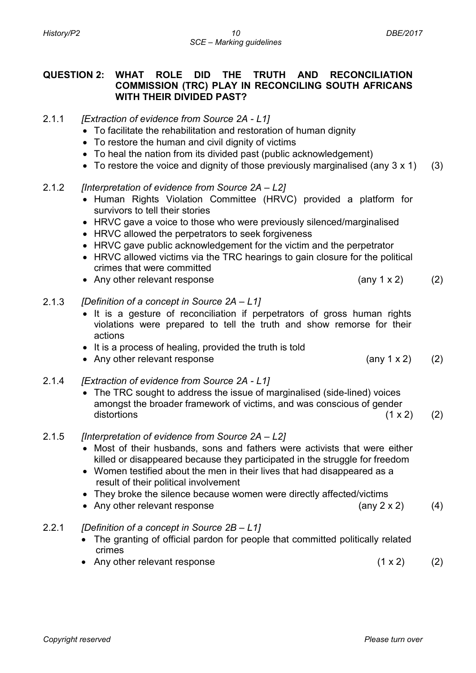#### **QUESTION 2: WHAT ROLE DID THE TRUTH AND RECONCILIATION COMMISSION (TRC) PLAY IN RECONCILING SOUTH AFRICANS WITH THEIR DIVIDED PAST?**

- 2.1.1 *[Extraction of evidence from Source 2A - L1]*
	- To facilitate the rehabilitation and restoration of human dignity
	- To restore the human and civil dignity of victims
	- To heal the nation from its divided past (public acknowledgement)
	- To restore the voice and dignity of those previously marginalised (any  $3 \times 1$ ) (3)

#### 2.1.2 *[Interpretation of evidence from Source 2A – L2]*

- Human Rights Violation Committee (HRVC) provided a platform for survivors to tell their stories
- HRVC gave a voice to those who were previously silenced/marginalised
- HRVC allowed the perpetrators to seek forgiveness
- HRVC gave public acknowledgement for the victim and the perpetrator
- HRVC allowed victims via the TRC hearings to gain closure for the political crimes that were committed
- Any other relevant response (any 1 x 2) (2)

#### 2.1.3 *[Definition of a concept in Source 2A – L1]*

- It is a gesture of reconciliation if perpetrators of gross human rights violations were prepared to tell the truth and show remorse for their actions
- It is a process of healing, provided the truth is told
- Any other relevant response (any 1 x 2) (2)
- 2.1.4 *[Extraction of evidence from Source 2A - L1]*
	- The TRC sought to address the issue of marginalised (side-lined) voices amongst the broader framework of victims, and was conscious of gender  $distortions$  (1 x 2) (2)
- 2.1.5 *[Interpretation of evidence from Source 2A – L2]*
	- Most of their husbands, sons and fathers were activists that were either killed or disappeared because they participated in the struggle for freedom
	- Women testified about the men in their lives that had disappeared as a result of their political involvement
	- They broke the silence because women were directly affected/victims
	- Any other relevant response (any 2 x 2) (4)

#### 2.2.1 *[Definition of a concept in Source 2B – L1]*

- The granting of official pardon for people that committed politically related crimes
- Any other relevant response  $(1 \times 2)$  (2)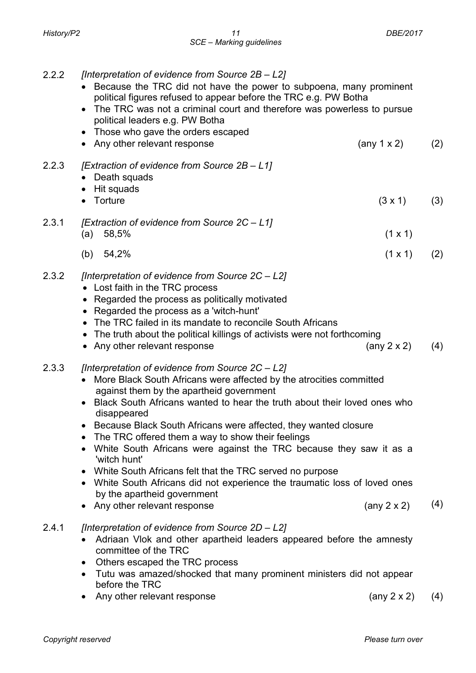|       | political figures refused to appear before the TRC e.g. PW Botha<br>The TRC was not a criminal court and therefore was powerless to pursue<br>political leaders e.g. PW Botha<br>• Those who gave the orders escaped<br>Any other relevant response                                                                                                                                                                                                                                                                                                                                                                                                                                             | (any $1 \times 2$ )        | (2) |
|-------|-------------------------------------------------------------------------------------------------------------------------------------------------------------------------------------------------------------------------------------------------------------------------------------------------------------------------------------------------------------------------------------------------------------------------------------------------------------------------------------------------------------------------------------------------------------------------------------------------------------------------------------------------------------------------------------------------|----------------------------|-----|
| 2.2.3 | [Extraction of evidence from Source 2B - L1]<br>Death squads<br>Hit squads<br>$\bullet$                                                                                                                                                                                                                                                                                                                                                                                                                                                                                                                                                                                                         |                            |     |
|       | Torture                                                                                                                                                                                                                                                                                                                                                                                                                                                                                                                                                                                                                                                                                         | $(3 \times 1)$             | (3) |
| 2.3.1 | [Extraction of evidence from Source 2C - L1]<br>58,5%<br>(a)                                                                                                                                                                                                                                                                                                                                                                                                                                                                                                                                                                                                                                    | $(1 \times 1)$             |     |
|       | 54,2%<br>(b)                                                                                                                                                                                                                                                                                                                                                                                                                                                                                                                                                                                                                                                                                    | $(1 \times 1)$             | (2) |
| 2.3.2 | [Interpretation of evidence from Source 2C - L2]<br>• Lost faith in the TRC process<br>• Regarded the process as politically motivated<br>Regarded the process as a 'witch-hunt'<br>The TRC failed in its mandate to reconcile South Africans<br>The truth about the political killings of activists were not forthcoming<br>• Any other relevant response                                                                                                                                                                                                                                                                                                                                      | (any $2 \times 2$ )        | (4) |
| 2.3.3 | [Interpretation of evidence from Source 2C - L2]<br>More Black South Africans were affected by the atrocities committed<br>$\bullet$<br>against them by the apartheid government<br>Black South Africans wanted to hear the truth about their loved ones who<br>disappeared<br>Because Black South Africans were affected, they wanted closure<br>The TRC offered them a way to show their feelings<br>White South Africans were against the TRC because they saw it as a<br>'witch hunt'<br>White South Africans felt that the TRC served no purpose<br>White South Africans did not experience the traumatic loss of loved ones<br>by the apartheid government<br>Any other relevant response | $(\text{any } 2 \times 2)$ | (4) |
| 2.4.1 | [Interpretation of evidence from Source 2D - L2]<br>Adriaan Vlok and other apartheid leaders appeared before the amnesty<br>committee of the TRC<br>Others escaped the TRC process                                                                                                                                                                                                                                                                                                                                                                                                                                                                                                              |                            |     |

- Tutu was amazed/shocked that many prominent ministers did not appear before the TRC
- Any other relevant response (any 2 x 2) (4)

- 2.2.2 *[Interpretation of evidence from Source 2B – L2]* • Because the TRC did not have the power to subpoena, many prominent
-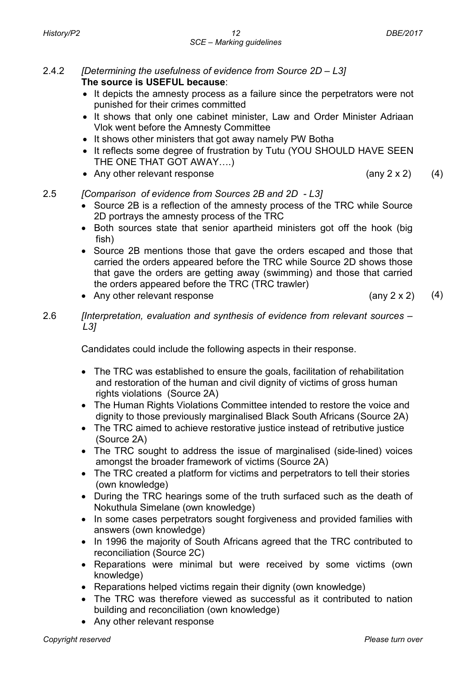- 2.4.2 *[Determining the usefulness of evidence from Source 2D – L3]* **The source is USEFUL because**:
	- It depicts the amnesty process as a failure since the perpetrators were not punished for their crimes committed
	- It shows that only one cabinet minister, Law and Order Minister Adriaan Vlok went before the Amnesty Committee
	- It shows other ministers that got away namely PW Botha
	- It reflects some degree of frustration by Tutu (YOU SHOULD HAVE SEEN THE ONE THAT GOT AWAY….)
	- Any other relevant response (any 2 x 2) (4)

### 2.5 *[Comparison of evidence from Sources 2B and 2D - L3]*

- Source 2B is a reflection of the amnesty process of the TRC while Source 2D portrays the amnesty process of the TRC
- Both sources state that senior apartheid ministers got off the hook (big fish)
- Source 2B mentions those that gave the orders escaped and those that carried the orders appeared before the TRC while Source 2D shows those that gave the orders are getting away (swimming) and those that carried the orders appeared before the TRC (TRC trawler)
- Any other relevant response (any 2 x 2) (4)
- 
- 2.6 *[Interpretation, evaluation and synthesis of evidence from relevant sources – L3]*

Candidates could include the following aspects in their response.

- The TRC was established to ensure the goals, facilitation of rehabilitation and restoration of the human and civil dignity of victims of gross human rights violations (Source 2A)
- The Human Rights Violations Committee intended to restore the voice and dignity to those previously marginalised Black South Africans (Source 2A)
- The TRC aimed to achieve restorative justice instead of retributive justice (Source 2A)
- The TRC sought to address the issue of marginalised (side-lined) voices amongst the broader framework of victims (Source 2A)
- The TRC created a platform for victims and perpetrators to tell their stories (own knowledge)
- During the TRC hearings some of the truth surfaced such as the death of Nokuthula Simelane (own knowledge)
- In some cases perpetrators sought forgiveness and provided families with answers (own knowledge)
- In 1996 the majority of South Africans agreed that the TRC contributed to reconciliation (Source 2C)
- Reparations were minimal but were received by some victims (own knowledge)
- Reparations helped victims regain their dignity (own knowledge)
- The TRC was therefore viewed as successful as it contributed to nation building and reconciliation (own knowledge)
- Any other relevant response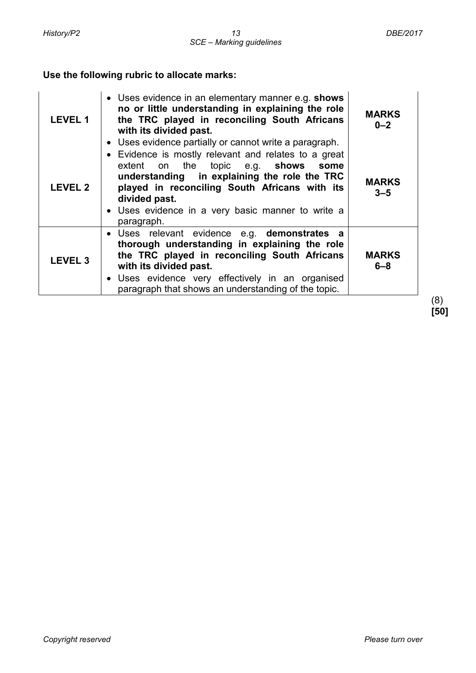# **Use the following rubric to allocate marks:**

| LEVEL 1        | • Uses evidence in an elementary manner e.g. shows<br>no or little understanding in explaining the role<br>the TRC played in reconciling South Africans<br>with its divided past.<br>• Uses evidence partially or cannot write a paragraph.                                        | <b>MARKS</b><br>$0 - 2$ |
|----------------|------------------------------------------------------------------------------------------------------------------------------------------------------------------------------------------------------------------------------------------------------------------------------------|-------------------------|
| <b>LEVEL 2</b> | • Evidence is mostly relevant and relates to a great<br>extent on the topic e.g. shows some<br>understanding in explaining the role the TRC<br>played in reconciling South Africans with its<br>divided past.<br>• Uses evidence in a very basic manner to write a<br>paragraph.   | <b>MARKS</b><br>$3 - 5$ |
| <b>LEVEL 3</b> | • Uses relevant evidence e.g. demonstrates a<br>thorough understanding in explaining the role<br>the TRC played in reconciling South Africans<br>with its divided past.<br>• Uses evidence very effectively in an organised<br>paragraph that shows an understanding of the topic. | <b>MARKS</b><br>$6 - 8$ |

(8) **[50]**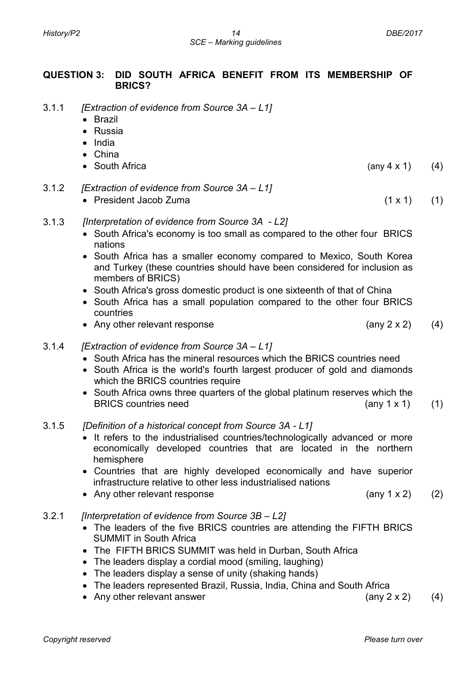### **QUESTION 3: DID SOUTH AFRICA BENEFIT FROM ITS MEMBERSHIP OF BRICS?**

- 3.1.1 *[Extraction of evidence from Source 3A – L1]*
	- Brazil
	- Russia
	- India
	- China
	- South Africa(any 4 x 1) (4)
- 3.1.2 *[Extraction of evidence from Source 3A – L1]*
	- President Jacob Zuma (1 x 1) (1)
- 3.1.3 *[Interpretation of evidence from Source 3A - L2]*
	- South Africa's economy is too small as compared to the other four BRICS nations
	- South Africa has a smaller economy compared to Mexico, South Korea and Turkey (these countries should have been considered for inclusion as members of BRICS)
	- South Africa's gross domestic product is one sixteenth of that of China
	- South Africa has a small population compared to the other four BRICS countries
	- Any other relevant response (any 2 x 2) (4)
- 3.1.4 *[Extraction of evidence from Source 3A – L1]*
	- South Africa has the mineral resources which the BRICS countries need
	- South Africa is the world's fourth largest producer of gold and diamonds which the BRICS countries require
	- South Africa owns three quarters of the global platinum reserves which the BRICS countries need (any 1 x 1) (1)

#### 3.1.5 *[Definition of a historical concept from Source 3A - L1]*

- It refers to the industrialised countries/technologically advanced or more economically developed countries that are located in the northern hemisphere
- Countries that are highly developed economically and have superior infrastructure relative to other less industrialised nations
- Any other relevant response (any 1 x 2) (2)

#### 3.2.1 *[Interpretation of evidence from Source 3B – L2]*

- The leaders of the five BRICS countries are attending the FIFTH BRICS SUMMIT in South Africa
- The FIFTH BRICS SUMMIT was held in Durban, South Africa
- The leaders display a cordial mood (smiling, laughing)
- The leaders display a sense of unity (shaking hands)
- The leaders represented Brazil, Russia, India, China and South Africa
- Any other relevant answer  $(4)$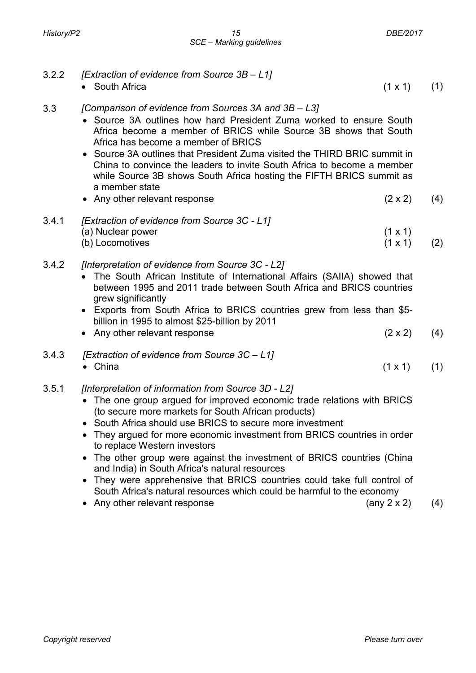- 3.2.2 *[Extraction of evidence from Source 3B – L1]*
	- South Africa  $(1 \times 1)$  (1)
- 3.3 *[Comparison of evidence from Sources 3A and 3B – L3]*
	- Source 3A outlines how hard President Zuma worked to ensure South Africa become a member of BRICS while Source 3B shows that South Africa has become a member of BRICS
	- Source 3A outlines that President Zuma visited the THIRD BRIC summit in China to convince the leaders to invite South Africa to become a member while Source 3B shows South Africa hosting the FIFTH BRICS summit as a member state
	- Any other relevant response (2 x 2) (4)
- 3.4.1 *[Extraction of evidence from Source 3C - L1]* (a) Nuclear power (1 x 1) (b) Locomotives (1 x 1) (2)
- 3.4.2 *[Interpretation of evidence from Source 3C - L2]*
	- The South African Institute of International Affairs (SAIIA) showed that between 1995 and 2011 trade between South Africa and BRICS countries grew significantly
	- Exports from South Africa to BRICS countries grew from less than \$5 billion in 1995 to almost \$25-billion by 2011
	- Any other relevant response  $(2 \times 2)$  (4)
- 3.4.3 *[Extraction of evidence from Source 3C – L1]*
	- China  $(1 \times 1)$  (1)
- 3.5.1 *[Interpretation of information from Source 3D - L2]*
	- The one group argued for improved economic trade relations with BRICS (to secure more markets for South African products)
	- South Africa should use BRICS to secure more investment
	- They argued for more economic investment from BRICS countries in order to replace Western investors
	- The other group were against the investment of BRICS countries (China and India) in South Africa's natural resources
	- They were apprehensive that BRICS countries could take full control of South Africa's natural resources which could be harmful to the economy
	- Any other relevant response (any 2 x 2) (4)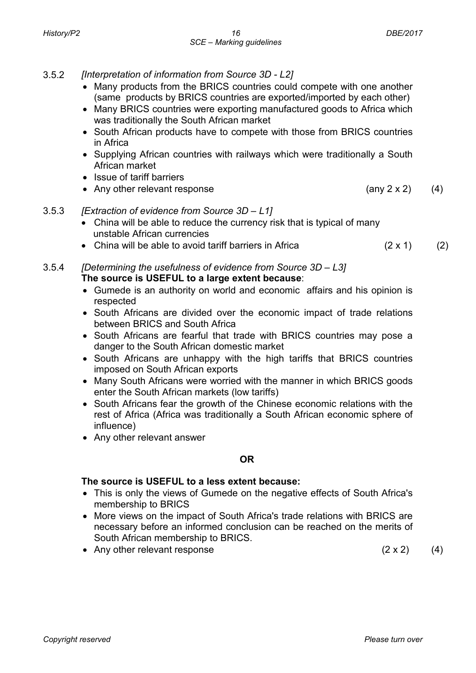- 3.5.2 *[Interpretation of information from Source 3D - L2]*
	- Many products from the BRICS countries could compete with one another (same products by BRICS countries are exported/imported by each other)
	- Many BRICS countries were exporting manufactured goods to Africa which was traditionally the South African market
	- South African products have to compete with those from BRICS countries in Africa
	- Supplying African countries with railways which were traditionally a South African market
	- Issue of tariff barriers
	- Any other relevant response (any 2 x 2) (4)
- 3.5.3 *[Extraction of evidence from Source 3D – L1]*
	- China will be able to reduce the currency risk that is typical of many unstable African currencies
	- China will be able to avoid tariff barriers in Africa  $(2 \times 1)$  (2)
- 3.5.4 *[Determining the usefulness of evidence from Source 3D – L3]* **The source is USEFUL to a large extent because**:
	- Gumede is an authority on world and economic affairs and his opinion is respected
	- South Africans are divided over the economic impact of trade relations between BRICS and South Africa
	- South Africans are fearful that trade with BRICS countries may pose a danger to the South African domestic market
	- South Africans are unhappy with the high tariffs that BRICS countries imposed on South African exports
	- Many South Africans were worried with the manner in which BRICS goods enter the South African markets (low tariffs)
	- South Africans fear the growth of the Chinese economic relations with the rest of Africa (Africa was traditionally a South African economic sphere of influence)
	- Any other relevant answer

#### **OR**

#### **The source is USEFUL to a less extent because:**

- This is only the views of Gumede on the negative effects of South Africa's membership to BRICS
- More views on the impact of South Africa's trade relations with BRICS are necessary before an informed conclusion can be reached on the merits of South African membership to BRICS.
- Any other relevant response  $(2 \times 2)$  (4)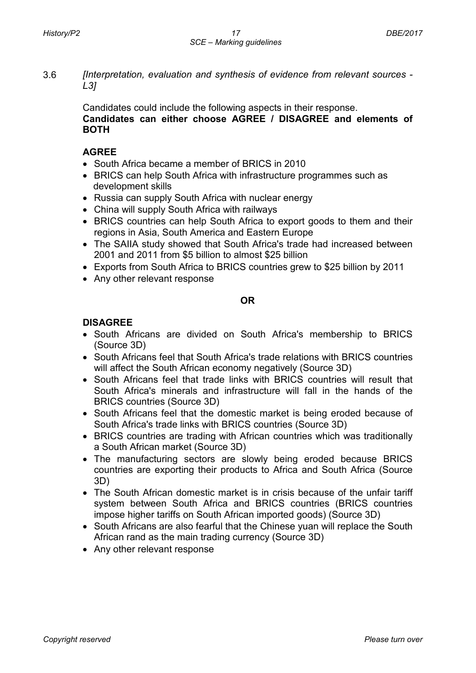Candidates could include the following aspects in their response. **Candidates can either choose AGREE / DISAGREE and elements of BOTH**

# **AGREE**

- South Africa became a member of BRICS in 2010
- BRICS can help South Africa with infrastructure programmes such as development skills
- Russia can supply South Africa with nuclear energy
- China will supply South Africa with railways
- BRICS countries can help South Africa to export goods to them and their regions in Asia, South America and Eastern Europe
- The SAIIA study showed that South Africa's trade had increased between 2001 and 2011 from \$5 billion to almost \$25 billion
- Exports from South Africa to BRICS countries grew to \$25 billion by 2011
- Any other relevant response

# **OR**

# **DISAGREE**

- South Africans are divided on South Africa's membership to BRICS (Source 3D)
- South Africans feel that South Africa's trade relations with BRICS countries will affect the South African economy negatively (Source 3D)
- South Africans feel that trade links with BRICS countries will result that South Africa's minerals and infrastructure will fall in the hands of the BRICS countries (Source 3D)
- South Africans feel that the domestic market is being eroded because of South Africa's trade links with BRICS countries (Source 3D)
- BRICS countries are trading with African countries which was traditionally a South African market (Source 3D)
- The manufacturing sectors are slowly being eroded because BRICS countries are exporting their products to Africa and South Africa (Source 3D)
- The South African domestic market is in crisis because of the unfair tariff system between South Africa and BRICS countries (BRICS countries impose higher tariffs on South African imported goods) (Source 3D)
- South Africans are also fearful that the Chinese yuan will replace the South African rand as the main trading currency (Source 3D)
- Any other relevant response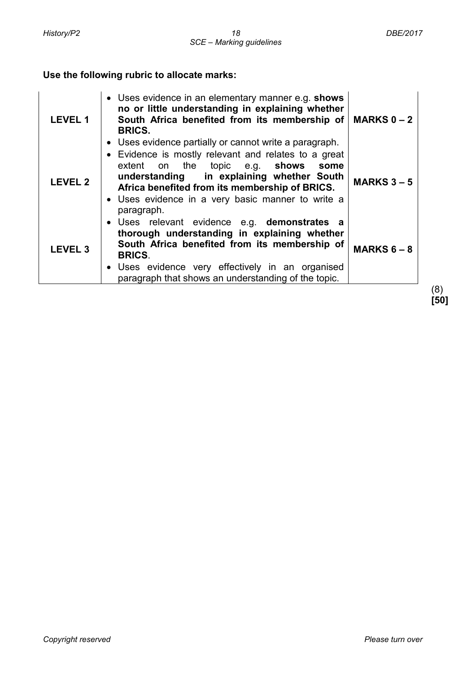# **Use the following rubric to allocate marks:**

| <b>LEVEL 1</b> | • Uses evidence in an elementary manner e.g. shows<br>no or little understanding in explaining whether<br>South Africa benefited from its membership of $\vert$ MARKS 0 - 2<br><b>BRICS.</b><br>• Uses evidence partially or cannot write a paragraph.                    |                                 |
|----------------|---------------------------------------------------------------------------------------------------------------------------------------------------------------------------------------------------------------------------------------------------------------------------|---------------------------------|
| <b>LEVEL 2</b> | • Evidence is mostly relevant and relates to a great<br>extent on the topic e.g. shows some<br>understanding in explaining whether South<br>Africa benefited from its membership of BRICS.<br>• Uses evidence in a very basic manner to write a<br>paragraph.             | <b>MARKS <math>3 - 5</math></b> |
| <b>LEVEL 3</b> | · Uses relevant evidence e.g. demonstrates a<br>thorough understanding in explaining whether<br>South Africa benefited from its membership of<br><b>BRICS.</b><br>• Uses evidence very effectively in an organised<br>paragraph that shows an understanding of the topic. | <b>MARKS <math>6 - 8</math></b> |

(8) **[50]**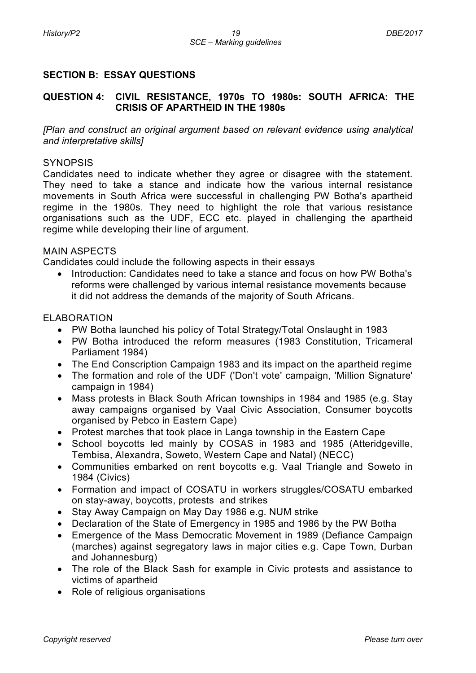# **SECTION B: ESSAY QUESTIONS**

### **QUESTION 4: CIVIL RESISTANCE, 1970s TO 1980s: SOUTH AFRICA: THE CRISIS OF APARTHEID IN THE 1980s**

*[Plan and construct an original argument based on relevant evidence using analytical and interpretative skills]*

#### **SYNOPSIS**

Candidates need to indicate whether they agree or disagree with the statement. They need to take a stance and indicate how the various internal resistance movements in South Africa were successful in challenging PW Botha's apartheid regime in the 1980s. They need to highlight the role that various resistance organisations such as the UDF, ECC etc. played in challenging the apartheid regime while developing their line of argument.

#### MAIN ASPECTS

Candidates could include the following aspects in their essays

• Introduction: Candidates need to take a stance and focus on how PW Botha's reforms were challenged by various internal resistance movements because it did not address the demands of the majority of South Africans.

#### ELABORATION

- PW Botha launched his policy of Total Strategy/Total Onslaught in 1983
- PW Botha introduced the reform measures (1983 Constitution, Tricameral Parliament 1984)
- The End Conscription Campaign 1983 and its impact on the apartheid regime
- The formation and role of the UDF ('Don't vote' campaign, 'Million Signature' campaign in 1984)
- Mass protests in Black South African townships in 1984 and 1985 (e.g. Stay away campaigns organised by Vaal Civic Association, Consumer boycotts organised by Pebco in Eastern Cape)
- Protest marches that took place in Langa township in the Eastern Cape
- School boycotts led mainly by COSAS in 1983 and 1985 (Atteridgeville, Tembisa, Alexandra, Soweto, Western Cape and Natal) (NECC)
- Communities embarked on rent boycotts e.g. Vaal Triangle and Soweto in 1984 (Civics)
- Formation and impact of COSATU in workers struggles/COSATU embarked on stay-away, boycotts, protests and strikes
- Stay Away Campaign on May Day 1986 e.g. NUM strike
- Declaration of the State of Emergency in 1985 and 1986 by the PW Botha
- Emergence of the Mass Democratic Movement in 1989 (Defiance Campaign (marches) against segregatory laws in major cities e.g. Cape Town, Durban and Johannesburg)
- The role of the Black Sash for example in Civic protests and assistance to victims of apartheid
- Role of religious organisations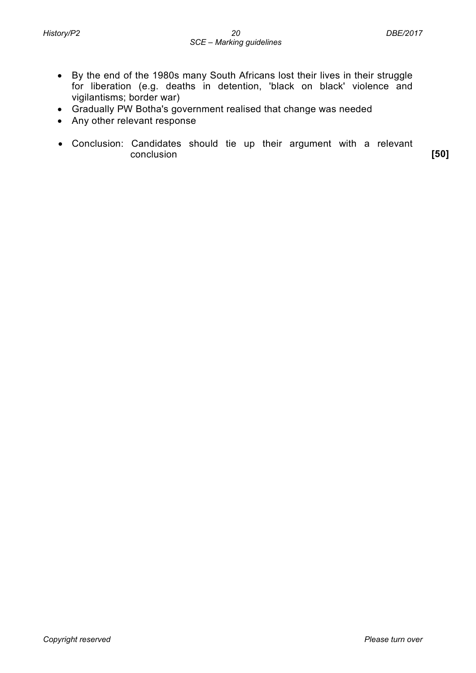- By the end of the 1980s many South Africans lost their lives in their struggle for liberation (e.g. deaths in detention, 'black on black' violence and vigilantisms; border war)
- Gradually PW Botha's government realised that change was needed
- Any other relevant response
- Conclusion: Candidates should tie up their argument with a relevant conclusion **[50]**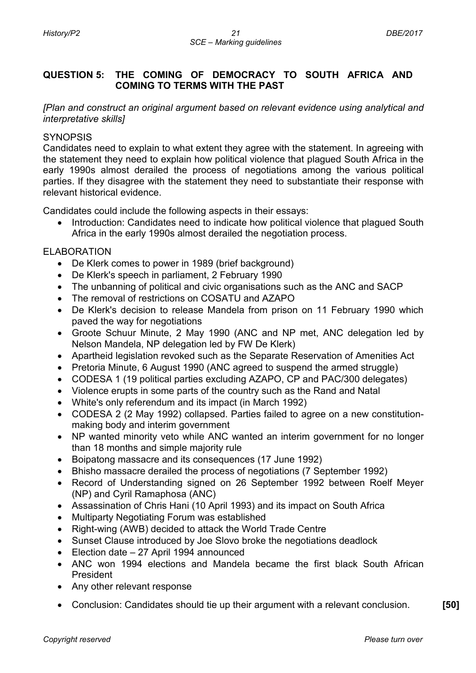# **QUESTION 5: THE COMING OF DEMOCRACY TO SOUTH AFRICA AND COMING TO TERMS WITH THE PAST**

*[Plan and construct an original argument based on relevant evidence using analytical and interpretative skills]*

#### **SYNOPSIS**

Candidates need to explain to what extent they agree with the statement. In agreeing with the statement they need to explain how political violence that plagued South Africa in the early 1990s almost derailed the process of negotiations among the various political parties. If they disagree with the statement they need to substantiate their response with relevant historical evidence.

Candidates could include the following aspects in their essays:

• Introduction: Candidates need to indicate how political violence that plagued South Africa in the early 1990s almost derailed the negotiation process.

#### ELABORATION

- De Klerk comes to power in 1989 (brief background)
- De Klerk's speech in parliament, 2 February 1990
- The unbanning of political and civic organisations such as the ANC and SACP
- The removal of restrictions on COSATU and AZAPO
- De Klerk's decision to release Mandela from prison on 11 February 1990 which paved the way for negotiations
- Groote Schuur Minute, 2 May 1990 (ANC and NP met, ANC delegation led by Nelson Mandela, NP delegation led by FW De Klerk)
- Apartheid legislation revoked such as the Separate Reservation of Amenities Act
- Pretoria Minute, 6 August 1990 (ANC agreed to suspend the armed struggle)
- CODESA 1 (19 political parties excluding AZAPO, CP and PAC/300 delegates)
- Violence erupts in some parts of the country such as the Rand and Natal
- White's only referendum and its impact (in March 1992)
- CODESA 2 (2 May 1992) collapsed. Parties failed to agree on a new constitutionmaking body and interim government
- NP wanted minority veto while ANC wanted an interim government for no longer than 18 months and simple majority rule
- Boipatong massacre and its consequences (17 June 1992)
- Bhisho massacre derailed the process of negotiations (7 September 1992)
- Record of Understanding signed on 26 September 1992 between Roelf Meyer (NP) and Cyril Ramaphosa (ANC)
- Assassination of Chris Hani (10 April 1993) and its impact on South Africa
- Multiparty Negotiating Forum was established
- Right-wing (AWB) decided to attack the World Trade Centre
- Sunset Clause introduced by Joe Slovo broke the negotiations deadlock
- Election date 27 April 1994 announced
- ANC won 1994 elections and Mandela became the first black South African President
- Any other relevant response
- Conclusion: Candidates should tie up their argument with a relevant conclusion. **[50]**